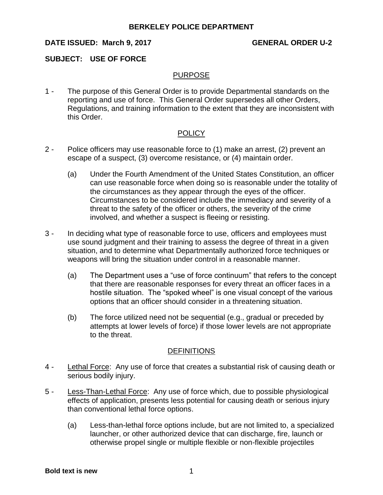## **DATE ISSUED: March 9, 2017 GENERAL ORDER U-2**

#### **SUBJECT: USE OF FORCE**

#### PURPOSE

1 - The purpose of this General Order is to provide Departmental standards on the reporting and use of force. This General Order supersedes all other Orders, Regulations, and training information to the extent that they are inconsistent with this Order.

## **POLICY**

- 2 Police officers may use reasonable force to (1) make an arrest, (2) prevent an escape of a suspect, (3) overcome resistance, or (4) maintain order.
	- (a) Under the Fourth Amendment of the United States Constitution, an officer can use reasonable force when doing so is reasonable under the totality of the circumstances as they appear through the eyes of the officer. Circumstances to be considered include the immediacy and severity of a threat to the safety of the officer or others, the severity of the crime involved, and whether a suspect is fleeing or resisting.
- 3 In deciding what type of reasonable force to use, officers and employees must use sound judgment and their training to assess the degree of threat in a given situation, and to determine what Departmentally authorized force techniques or weapons will bring the situation under control in a reasonable manner.
	- (a) The Department uses a "use of force continuum" that refers to the concept that there are reasonable responses for every threat an officer faces in a hostile situation. The "spoked wheel" is one visual concept of the various options that an officer should consider in a threatening situation.
	- (b) The force utilized need not be sequential (e.g., gradual or preceded by attempts at lower levels of force) if those lower levels are not appropriate to the threat.

#### **DEFINITIONS**

- 4 Lethal Force: Any use of force that creates a substantial risk of causing death or serious bodily injury.
- 5 Less-Than-Lethal Force: Any use of force which, due to possible physiological effects of application, presents less potential for causing death or serious injury than conventional lethal force options.
	- (a) Less-than-lethal force options include, but are not limited to, a specialized launcher, or other authorized device that can discharge, fire, launch or otherwise propel single or multiple flexible or non-flexible projectiles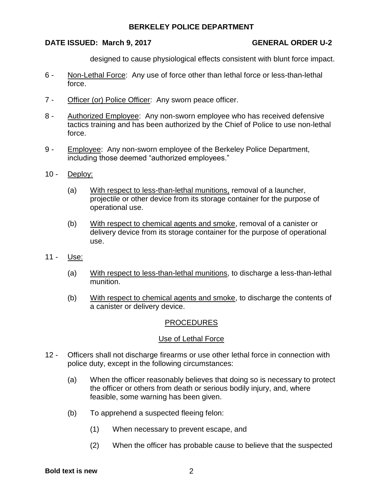## **DATE ISSUED: March 9, 2017 GENERAL ORDER U-2**

designed to cause physiological effects consistent with blunt force impact.

- 6 Non-Lethal Force: Any use of force other than lethal force or less-than-lethal force.
- 7 Officer (or) Police Officer: Any sworn peace officer.
- 8 Authorized Employee: Any non-sworn employee who has received defensive tactics training and has been authorized by the Chief of Police to use non-lethal force.
- 9 Employee: Any non-sworn employee of the Berkeley Police Department, including those deemed "authorized employees."
- 10 Deploy:
	- (a) With respect to less-than-lethal munitions, removal of a launcher, projectile or other device from its storage container for the purpose of operational use.
	- (b) With respect to chemical agents and smoke, removal of a canister or delivery device from its storage container for the purpose of operational use.
- 11 Use:
	- (a) With respect to less-than-lethal munitions, to discharge a less-than-lethal munition.
	- (b) With respect to chemical agents and smoke, to discharge the contents of a canister or delivery device.

# PROCEDURES

## Use of Lethal Force

- 12 Officers shall not discharge firearms or use other lethal force in connection with police duty, except in the following circumstances:
	- (a) When the officer reasonably believes that doing so is necessary to protect the officer or others from death or serious bodily injury, and, where feasible, some warning has been given.
	- (b) To apprehend a suspected fleeing felon:
		- (1) When necessary to prevent escape, and
		- (2) When the officer has probable cause to believe that the suspected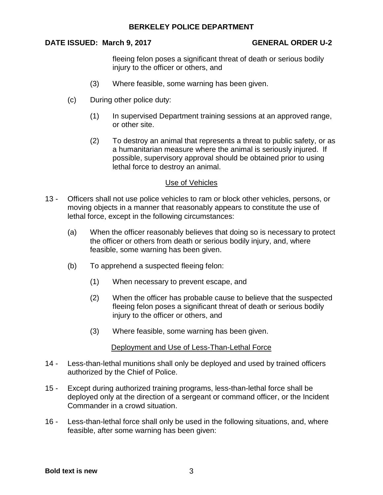## **DATE ISSUED: March 9, 2017 GENERAL ORDER U-2**

fleeing felon poses a significant threat of death or serious bodily injury to the officer or others, and

- (3) Where feasible, some warning has been given.
- (c) During other police duty:
	- (1) In supervised Department training sessions at an approved range, or other site.
	- (2) To destroy an animal that represents a threat to public safety, or as a humanitarian measure where the animal is seriously injured. If possible, supervisory approval should be obtained prior to using lethal force to destroy an animal.

#### Use of Vehicles

- 13 Officers shall not use police vehicles to ram or block other vehicles, persons, or moving objects in a manner that reasonably appears to constitute the use of lethal force, except in the following circumstances:
	- (a) When the officer reasonably believes that doing so is necessary to protect the officer or others from death or serious bodily injury, and, where feasible, some warning has been given.
	- (b) To apprehend a suspected fleeing felon:
		- (1) When necessary to prevent escape, and
		- (2) When the officer has probable cause to believe that the suspected fleeing felon poses a significant threat of death or serious bodily injury to the officer or others, and
		- (3) Where feasible, some warning has been given.

#### Deployment and Use of Less-Than-Lethal Force

- 14 Less-than-lethal munitions shall only be deployed and used by trained officers authorized by the Chief of Police.
- 15 Except during authorized training programs, less-than-lethal force shall be deployed only at the direction of a sergeant or command officer, or the Incident Commander in a crowd situation.
- 16 Less-than-lethal force shall only be used in the following situations, and, where feasible, after some warning has been given: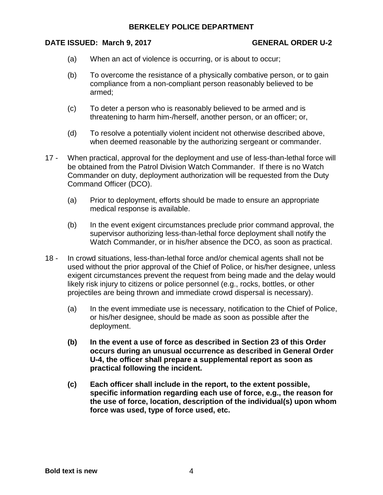#### **DATE ISSUED: March 9, 2017 GENERAL ORDER U-2**

- (a) When an act of violence is occurring, or is about to occur;
- (b) To overcome the resistance of a physically combative person, or to gain compliance from a non-compliant person reasonably believed to be armed;
- (c) To deter a person who is reasonably believed to be armed and is threatening to harm him-/herself, another person, or an officer; or,
- (d) To resolve a potentially violent incident not otherwise described above, when deemed reasonable by the authorizing sergeant or commander.
- 17 When practical, approval for the deployment and use of less-than-lethal force will be obtained from the Patrol Division Watch Commander. If there is no Watch Commander on duty, deployment authorization will be requested from the Duty Command Officer (DCO).
	- (a) Prior to deployment, efforts should be made to ensure an appropriate medical response is available.
	- (b) In the event exigent circumstances preclude prior command approval, the supervisor authorizing less-than-lethal force deployment shall notify the Watch Commander, or in his/her absence the DCO, as soon as practical.
- 18 In crowd situations, less-than-lethal force and/or chemical agents shall not be used without the prior approval of the Chief of Police, or his/her designee, unless exigent circumstances prevent the request from being made and the delay would likely risk injury to citizens or police personnel (e.g., rocks, bottles, or other projectiles are being thrown and immediate crowd dispersal is necessary).
	- (a) In the event immediate use is necessary, notification to the Chief of Police, or his/her designee, should be made as soon as possible after the deployment.
	- **(b) In the event a use of force as described in Section 23 of this Order occurs during an unusual occurrence as described in General Order U-4, the officer shall prepare a supplemental report as soon as practical following the incident.**
	- **(c) Each officer shall include in the report, to the extent possible, specific information regarding each use of force, e.g., the reason for the use of force, location, description of the individual(s) upon whom force was used, type of force used, etc.**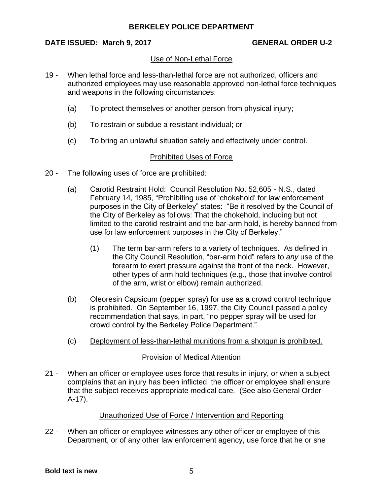## **DATE ISSUED: March 9, 2017 GENERAL ORDER U-2**

## Use of Non-Lethal Force

- 19 When lethal force and less-than-lethal force are not authorized, officers and authorized employees may use reasonable approved non-lethal force techniques and weapons in the following circumstances:
	- (a) To protect themselves or another person from physical injury;
	- (b) To restrain or subdue a resistant individual; or
	- (c) To bring an unlawful situation safely and effectively under control.

## Prohibited Uses of Force

- 20 The following uses of force are prohibited:
	- (a) Carotid Restraint Hold: Council Resolution No. 52,605 N.S., dated February 14, 1985, "Prohibiting use of 'chokehold' for law enforcement purposes in the City of Berkeley" states: "Be it resolved by the Council of the City of Berkeley as follows: That the chokehold, including but not limited to the carotid restraint and the bar-arm hold, is hereby banned from use for law enforcement purposes in the City of Berkeley."
		- (1) The term bar-arm refers to a variety of techniques. As defined in the City Council Resolution, "bar-arm hold" refers to *any* use of the forearm to exert pressure against the front of the neck. However, other types of arm hold techniques (e.g., those that involve control of the arm, wrist or elbow) remain authorized.
	- (b) Oleoresin Capsicum (pepper spray) for use as a crowd control technique is prohibited. On September 16, 1997, the City Council passed a policy recommendation that says, in part, "no pepper spray will be used for crowd control by the Berkeley Police Department."
	- (c) Deployment of less-than-lethal munitions from a shotgun is prohibited.

## Provision of Medical Attention

21 - When an officer or employee uses force that results in injury, or when a subject complains that an injury has been inflicted, the officer or employee shall ensure that the subject receives appropriate medical care. (See also General Order A-17).

## Unauthorized Use of Force / Intervention and Reporting

22 - When an officer or employee witnesses any other officer or employee of this Department, or of any other law enforcement agency, use force that he or she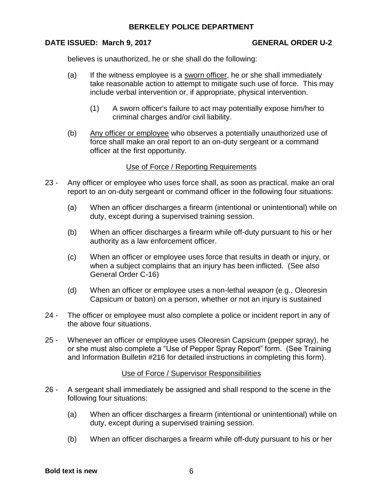## **DATE ISSUED: March 9, 2017 GENERAL ORDER U-2**

believes is unauthorized, he or she shall do the following:

- (a) If the witness employee is a sworn officer, he or she shall immediately take reasonable action to attempt to mitigate such use of force. This may include verbal intervention or, if appropriate, physical intervention.
	- (1) A sworn officer's failure to act may potentially expose him/her to criminal charges and/or civil liability.
- (b) Any officer or employee who observes a potentially unauthorized use of force shall make an oral report to an on-duty sergeant or a command officer at the first opportunity.

## Use of Force / Reporting Requirements

- 23 Any officer or employee who uses force shall, as soon as practical, make an oral report to an on-duty sergeant or command officer in the following four situations:
	- (a) When an officer discharges a firearm (intentional or unintentional) while on duty, except during a supervised training session.
	- (b) When an officer discharges a firearm while off-duty pursuant to his or her authority as a law enforcement officer.
	- (c) When an officer or employee uses force that results in death or injury, or when a subject complains that an injury has been inflicted. (See also General Order C-16)
	- (d) When an officer or employee uses a non-lethal *weapon* (e.g., Oleoresin Capsicum or baton) on a person, whether or not an injury is sustained
- 24 The officer or employee must also complete a police or incident report in any of the above four situations.
- 25 Whenever an officer or employee uses Oleoresin Capsicum (pepper spray), he or she must also complete a "Use of Pepper Spray Report" form. (See Training and Information Bulletin #216 for detailed instructions in completing this form).

## Use of Force / Supervisor Responsibilities

- 26 A sergeant shall immediately be assigned and shall respond to the scene in the following four situations:
	- (a) When an officer discharges a firearm (intentional or unintentional) while on duty, except during a supervised training session.
	- (b) When an officer discharges a firearm while off-duty pursuant to his or her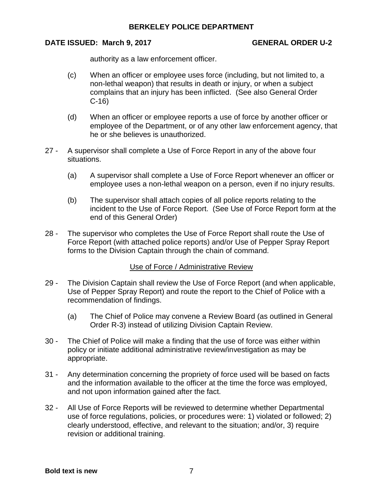## **DATE ISSUED: March 9, 2017 GENERAL ORDER U-2**

authority as a law enforcement officer.

- (c) When an officer or employee uses force (including, but not limited to, a non-lethal weapon) that results in death or injury, or when a subject complains that an injury has been inflicted. (See also General Order C-16)
- (d) When an officer or employee reports a use of force by another officer or employee of the Department, or of any other law enforcement agency, that he or she believes is unauthorized.
- 27 A supervisor shall complete a Use of Force Report in any of the above four situations.
	- (a) A supervisor shall complete a Use of Force Report whenever an officer or employee uses a non-lethal weapon on a person, even if no injury results.
	- (b) The supervisor shall attach copies of all police reports relating to the incident to the Use of Force Report. (See Use of Force Report form at the end of this General Order)
- 28 The supervisor who completes the Use of Force Report shall route the Use of Force Report (with attached police reports) and/or Use of Pepper Spray Report forms to the Division Captain through the chain of command.

## Use of Force / Administrative Review

- 29 The Division Captain shall review the Use of Force Report (and when applicable, Use of Pepper Spray Report) and route the report to the Chief of Police with a recommendation of findings.
	- (a) The Chief of Police may convene a Review Board (as outlined in General Order R-3) instead of utilizing Division Captain Review.
- 30 The Chief of Police will make a finding that the use of force was either within policy or initiate additional administrative review/investigation as may be appropriate.
- 31 Any determination concerning the propriety of force used will be based on facts and the information available to the officer at the time the force was employed, and not upon information gained after the fact.
- 32 All Use of Force Reports will be reviewed to determine whether Departmental use of force regulations, policies, or procedures were: 1) violated or followed; 2) clearly understood, effective, and relevant to the situation; and/or, 3) require revision or additional training.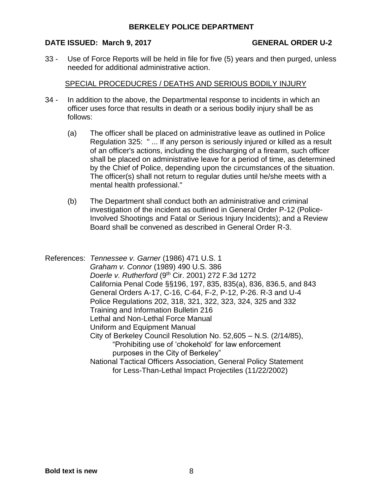#### **DATE ISSUED: March 9, 2017 GENERAL ORDER U-2**

33 - Use of Force Reports will be held in file for five (5) years and then purged, unless needed for additional administrative action.

#### SPECIAL PROCEDUCRES / DEATHS AND SERIOUS BODILY INJURY

- 34 In addition to the above, the Departmental response to incidents in which an officer uses force that results in death or a serious bodily injury shall be as follows:
	- (a) The officer shall be placed on administrative leave as outlined in Police Regulation 325: " ... If any person is seriously injured or killed as a result of an officer's actions, including the discharging of a firearm, such officer shall be placed on administrative leave for a period of time, as determined by the Chief of Police, depending upon the circumstances of the situation. The officer(s) shall not return to regular duties until he/she meets with a mental health professional."
	- (b) The Department shall conduct both an administrative and criminal investigation of the incident as outlined in General Order P-12 (Police-Involved Shootings and Fatal or Serious Injury Incidents); and a Review Board shall be convened as described in General Order R-3.
- References: *Tennessee v. Garner* (1986) 471 U.S. 1 *Graham v. Connor* (1989) 490 U.S. 386 *Doerle v. Rutherford* (9th Cir. 2001) 272 F.3d 1272 California Penal Code §§196, 197, 835, 835(a), 836, 836.5, and 843 General Orders A-17, C-16, C-64, F-2, P-12, P-26. R-3 and U-4 Police Regulations 202, 318, 321, 322, 323, 324, 325 and 332 Training and Information Bulletin 216 Lethal and Non-Lethal Force Manual Uniform and Equipment Manual City of Berkeley Council Resolution No. 52,605 – N.S. (2/14/85), "Prohibiting use of 'chokehold' for law enforcement purposes in the City of Berkeley" National Tactical Officers Association, General Policy Statement for Less-Than-Lethal Impact Projectiles (11/22/2002)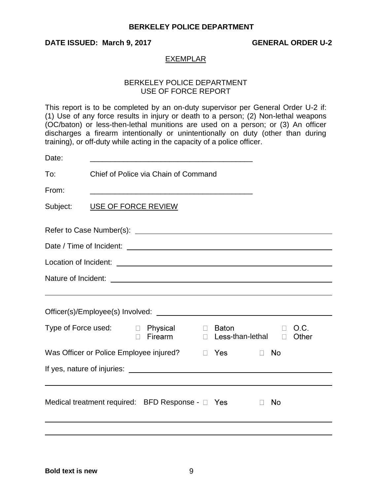# **DATE ISSUED: March 9, 2017 GENERAL ORDER U-2**

#### EXEMPLAR

### BERKELEY POLICE DEPARTMENT USE OF FORCE REPORT

This report is to be completed by an on-duty supervisor per General Order U-2 if: (1) Use of any force results in injury or death to a person; (2) Non-lethal weapons (OC/baton) or less-then-lethal munitions are used on a person; or (3) An officer discharges a firearm intentionally or unintentionally on duty (other than during training), or off-duty while acting in the capacity of a police officer.

| Date:                                                                 |                                      |                                                                 |        |                           |              |               |  |  |
|-----------------------------------------------------------------------|--------------------------------------|-----------------------------------------------------------------|--------|---------------------------|--------------|---------------|--|--|
| To:                                                                   | Chief of Police via Chain of Command |                                                                 |        |                           |              |               |  |  |
| From:                                                                 |                                      | <u> 1989 - Johann Stoff, amerikansk politiker (d. 1989)</u>     |        |                           |              |               |  |  |
| Subject:                                                              |                                      | USE OF FORCE REVIEW                                             |        |                           |              |               |  |  |
|                                                                       |                                      |                                                                 |        |                           |              |               |  |  |
|                                                                       |                                      |                                                                 |        |                           |              |               |  |  |
|                                                                       |                                      |                                                                 |        |                           |              |               |  |  |
|                                                                       |                                      |                                                                 |        |                           |              |               |  |  |
|                                                                       |                                      |                                                                 |        |                           |              |               |  |  |
|                                                                       |                                      |                                                                 |        |                           |              |               |  |  |
|                                                                       |                                      | Type of Force used: $\Box$ Physical $\Box$<br>Firearm<br>$\Box$ | $\Box$ | Baton<br>Less-than-lethal | П<br>$\Box$  | O.C.<br>Other |  |  |
| Was Officer or Police Employee injured?<br>$\Box$ Yes<br>No<br>$\Box$ |                                      |                                                                 |        |                           |              |               |  |  |
|                                                                       |                                      |                                                                 |        |                           |              |               |  |  |
|                                                                       |                                      |                                                                 |        |                           |              |               |  |  |
|                                                                       |                                      | Medical treatment required: BFD Response - $\Box$ Yes           |        |                           | No<br>$\Box$ |               |  |  |
|                                                                       |                                      |                                                                 |        |                           |              |               |  |  |